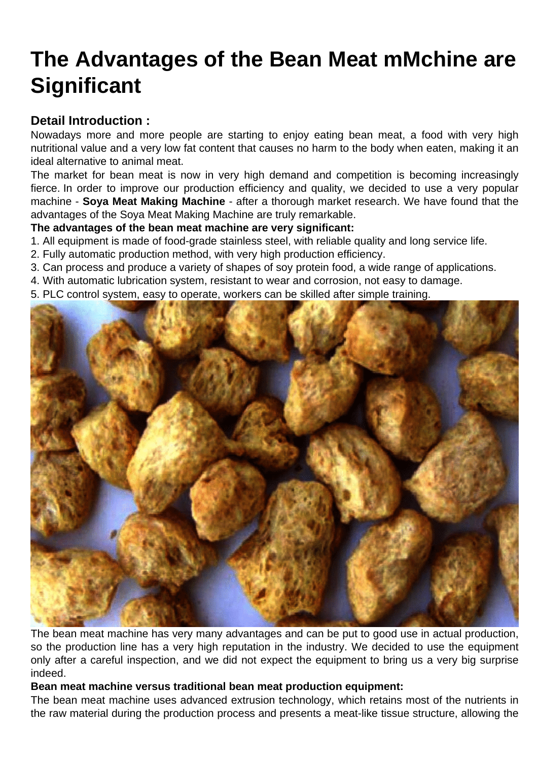## [The Advantages of the Bean Meat mMchine are](https://www.foodmachineryint.com/blog/the-advantages-of-the-bean-meat-mmchine-are-significant.html) **Significant**

Detail Introduction :

Nowadays more and more people are starting to enjoy eating bean meat, a food with very high nutritional value and a very low fat content that causes no harm to the body when eaten, making it an ideal alternative to animal meat.

The market for bean meat is now in very high demand and competition is becoming increasingly fierce. In order to improve our production efficiency and quality, we decided to use a very popular machine - [Soya Meat Making Machine](https://www.foodmachineryint.com/soya-meat-making-machine/) - after a thorough market research. We have found that the advantages of the Soya Meat Making Machine are truly remarkable.

The advantages of the bean meat machine are very significant:

- 1. All equipment is made of food-grade stainless steel, with reliable quality and long service life.
- 2. Fully automatic production method, with very high production efficiency.
- 3. Can process and produce a variety of shapes of soy protein food, a wide range of applications.
- 4. With automatic lubrication system, resistant to wear and corrosion, not easy to damage.
- 5. PLC control system, easy to operate, workers can be skilled after simple training.

The bean meat machine has very many advantages and can be put to good use in actual production, so the production line has a very high reputation in the industry. We decided to use the equipment only after a careful inspection, and we did not expect the equipment to bring us a very big surprise indeed.

Bean meat machine versus traditional bean meat production equipment:

The bean meat machine uses advanced extrusion technology, which retains most of the nutrients in the raw material during the production process and presents a meat-like tissue structure, allowing the